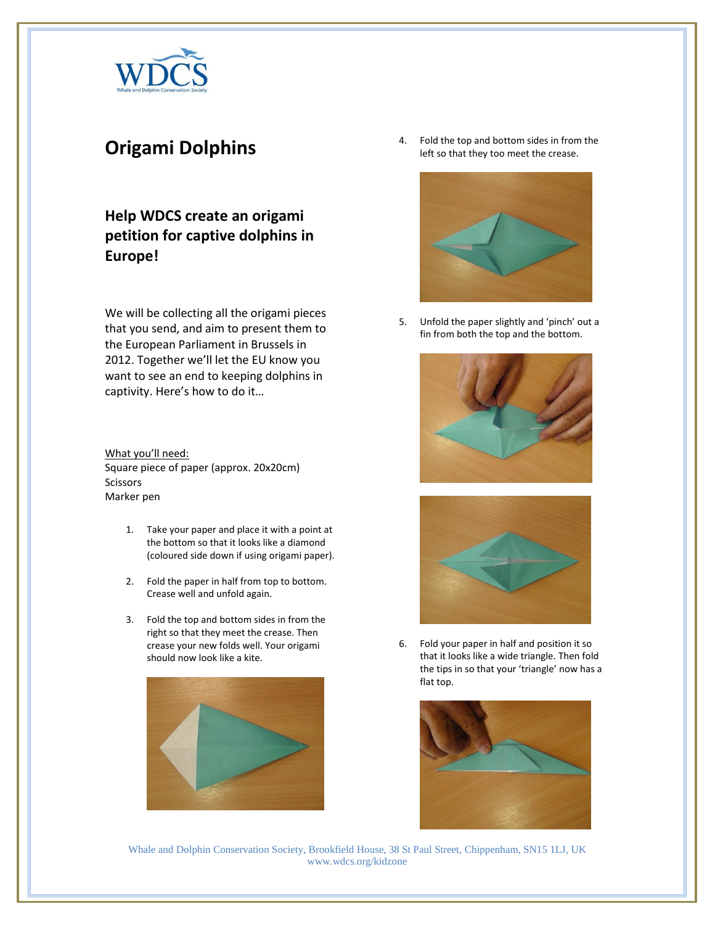

## **Origami Dolphins**

## **Help WDCS create an origami petition for captive dolphins in Europe!**

We will be collecting all the origami pieces that you send, and aim to present them to the European Parliament in Brussels in 2012. Together we'll let the EU know you want to see an end to keeping dolphins in captivity. Here's how to do it…

What you'll need: Square piece of paper (approx. 20x20cm) Scissors Marker pen

- 1. Take your paper and place it with a point at the bottom so that it looks like a diamond (coloured side down if using origami paper).
- 2. Fold the paper in half from top to bottom. Crease well and unfold again.
- 3. Fold the top and bottom sides in from the right so that they meet the crease. Then crease your new folds well. Your origami should now look like a kite.



4. Fold the top and bottom sides in from the left so that they too meet the crease.



5. Unfold the paper slightly and 'pinch' out a fin from both the top and the bottom.





6. Fold your paper in half and position it so that it looks like a wide triangle. Then fold the tips in so that your 'triangle' now has a flat top.



Whale and Dolphin Conservation Society, Brookfield House, 38 St Paul Street, Chippenham, SN15 1LJ, UK www.wdcs.org/kidzone